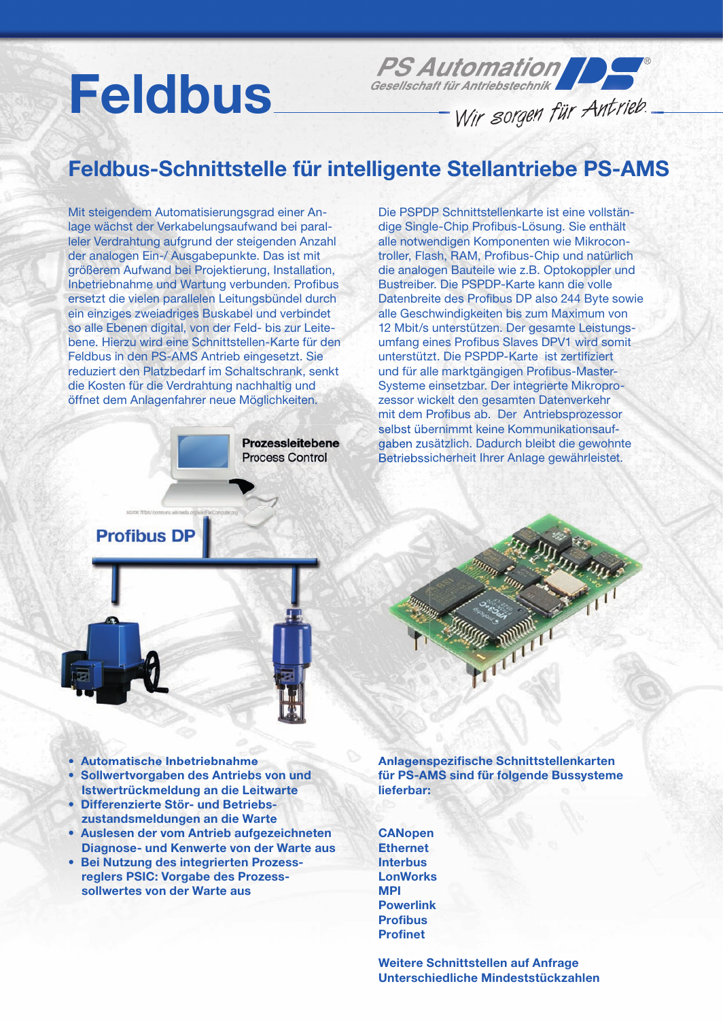# Feldbus

### PS Automation

Wir sorgen für Antrieb.

#### Feldbus-Schnittstelle für intelligente Stellantriebe PS-AMS

Mit steigendem Automatisierungsgrad einer Anlage wächst der Verkabelungsaufwand bei paralleler Verdrahtung aufgrund der steigenden Anzahl der analogen Ein-/ Ausgabepunkte. Das ist mit größerem Aufwand bei Projektierung, Installation, Inbetriebnahme und Wartung verbunden. Profibus ersetzt die vielen parallelen Leitungsbündel durch ein einziges zweiadriges Buskabel und verbindet so alle Ebenen digital, von der Feld- bis zur Leitebene. Hierzu wird eine Schnittstellen-Karte für den Feldbus in den PS-AMS Antrieb eingesetzt. Sie reduziert den Platzbedarf im Schaltschrank, senkt die Kosten für die Verdrahtung nachhaltig und öffnet dem Anlagenfahrer neue Möglichkeiten.

> **Prozessleitebene Process Control**

Die PSPDP Schnittstellenkarte ist eine vollständige Single-Chip Profibus-Lösung. Sie enthält alle notwendigen Komponenten wie Mikrocontroller, Flash, RAM, Profibus-Chip und natürlich die analogen Bauteile wie z.B. Optokoppler und Bustreiber. Die PSPDP-Karte kann die volle Datenbreite des Profibus DP also 244 Byte sowie alle Geschwindigkeiten bis zum Maximum von 12 Mbit/s unterstützen. Der gesamte Leistungsumfang eines Profibus Slaves DPV1 wird somit unterstützt. Die PSPDP-Karte ist zertifiziert und für alle marktgängigen Profibus-Master-Systeme einsetzbar. Der integrierte Mikroprozessor wickelt den gesamten Datenverkehr mit dem Profibus ab. Der Antriebsprozessor selbst übernimmt keine Kommunikationsaufgaben zusätzlich. Dadurch bleibt die gewohnte Betriebssicherheit Ihrer Anlage gewährleistet.

**Profibus DP** 



- Automatische Inbetriebnahme
- Sollwertvorgaben des Antriebs von und Istwertrückmeldung an die Leitwarte
- Differenzierte Stör- und Betriebs zustandsmeldungen an die Warte
- Auslesen der vom Antrieb aufgezeichneten Diagnose- und Kenwerte von der Warte aus
- Bei Nutzung des integrierten Prozess reglers PSIC: Vorgabe des Prozess sollwertes von der Warte aus

Anlagenspezifische Schnittstellenkarten für PS-AMS sind für folgende Bussysteme lieferbar:

**CANopen Ethernet** Interbus LonWorks MPI **Powerlink Profibus Profinet** 

Weitere Schnittstellen auf Anfrage Unterschiedliche Mindeststückzahlen